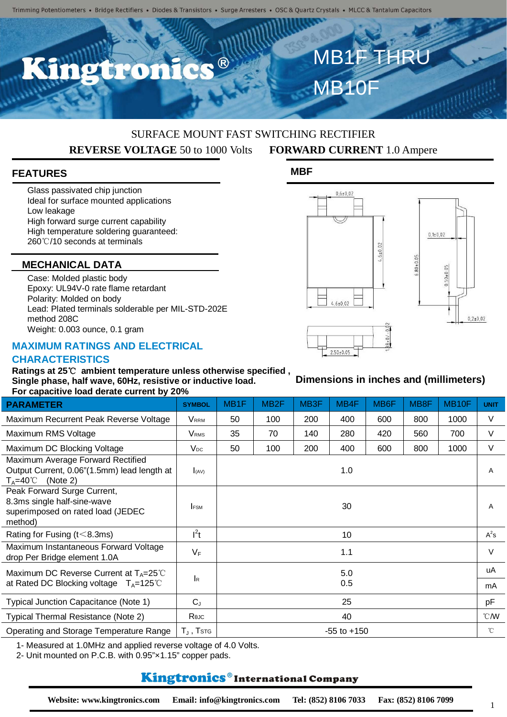$\bullet$   $\circledR$ 

## SURFACE MOUNT FAST SWITCHING RECTIFIER **REVERSE VOLTAGE** 50 to 1000 Volts **FORWARD CURRENT** 1.0 Ampere

**MBF**

## **FEATURES**

Glass passivated chip junction Ideal for surface mounted applications Low leakage High forward surge current capability High temperature soldering guaranteed: 260℃/10 seconds at terminals

### **MECHANICAL DATA**

Case: Molded plastic body Epoxy: UL94V-0 rate flame retardant Polarity: Molded on body Lead: Plated terminals solderable per MIL-STD-202E method 208C Weight: 0.003 ounce, 0.1 gram

#### **MAXIMUM RATINGS AND ELECTRICAL**

 $0,6{\pm}0,02$ 

MB10F

MB1F THR



**Dimensions in inches and (millimeters)**



# $2.50 \pm 0.05$

## **CHARACTERISTICS**

**Ratings at 25**℃ **ambient temperature unless otherwise specified , Single phase, half wave, 60Hz, resistive or inductive load. For capacitive load derate current by 20%**

| <u>I OI Capacitive Ioau delate cullelit by Z070</u>                                                                  |                    |                   |                  |                  |                 |                   |                  |                    |                |
|----------------------------------------------------------------------------------------------------------------------|--------------------|-------------------|------------------|------------------|-----------------|-------------------|------------------|--------------------|----------------|
| <b>PARAMETER</b>                                                                                                     | <b>SYMBOL</b>      | MB <sub>1</sub> F | MB <sub>2F</sub> | MB <sub>3F</sub> | MB4F            | MB <sub>6</sub> F | MB <sub>8F</sub> | MB <sub>10</sub> F | <b>UNIT</b>    |
| Maximum Recurrent Peak Reverse Voltage                                                                               | <b>VRRM</b>        | 50                | 100              | 200              | 400             | 600               | 800              | 1000               | V              |
| Maximum RMS Voltage                                                                                                  | V <sub>RMS</sub>   | 35                | 70               | 140              | 280             | 420               | 560              | 700                | $\vee$         |
| Maximum DC Blocking Voltage                                                                                          | $V_{DC}$           | 50                | 100              | 200              | 400             | 600               | 800              | 1000               | $\vee$         |
| Maximum Average Forward Rectified<br>Output Current, 0.06"(1.5mm) lead length at<br>$T_A = 40^{\circ}$ C<br>(Note 2) | I(AV)              |                   |                  |                  | 1.0             |                   |                  |                    | $\overline{A}$ |
| Peak Forward Surge Current,<br>8.3ms single half-sine-wave<br>superimposed on rated load (JEDEC<br>method)           | <b>IFSM</b>        |                   |                  |                  | 30              |                   |                  |                    | $\overline{A}$ |
| Rating for Fusing ( $t$ < 8.3ms)                                                                                     | $I^2t$             |                   |                  |                  | 10              |                   |                  |                    | $A^2s$         |
| Maximum Instantaneous Forward Voltage<br>drop Per Bridge element 1.0A                                                | $V_F$              |                   |                  |                  | 1.1             |                   |                  |                    | $\vee$         |
| Maximum DC Reverse Current at $T_A = 25^{\circ}C$                                                                    | lĸ.                | 5.0<br>0.5        |                  |                  |                 |                   |                  |                    | uA             |
| at Rated DC Blocking voltage $T_A = 125^{\circ}$ C                                                                   |                    |                   |                  |                  |                 |                   |                  |                    | mA             |
| Typical Junction Capacitance (Note 1)                                                                                | $C_{J}$            |                   |                  |                  | 25              |                   |                  |                    | pF             |
| Typical Thermal Resistance (Note 2)                                                                                  | Rejc               |                   |                  |                  | 40              |                   |                  |                    | °CM            |
| Operating and Storage Temperature Range                                                                              | $T_{\rm J}$ , Tstg |                   |                  |                  | $-55$ to $+150$ |                   |                  |                    | $^{\circ}$ C   |

1- Measured at 1.0MHz and applied reverse voltage of 4.0 Volts.

2- Unit mounted on P.C.B. with 0.95"×1.15" copper pads.

# Kingtronics®International Company

1